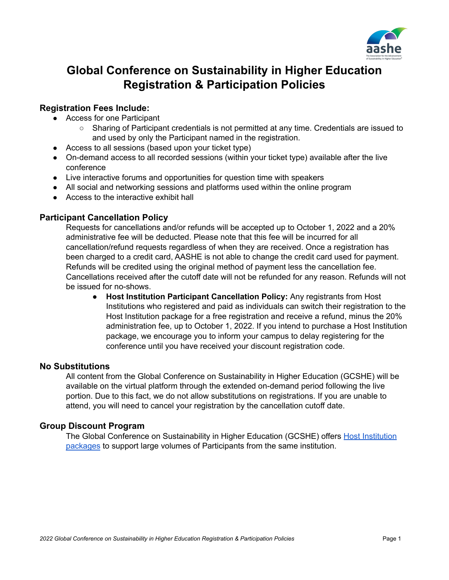

# **Global Conference on Sustainability in Higher Education Registration & Participation Policies**

# **Registration Fees Include:**

- Access for one Participant
	- Sharing of Participant credentials is not permitted at any time. Credentials are issued to and used by only the Participant named in the registration.
- Access to all sessions (based upon your ticket type)
- On-demand access to all recorded sessions (within your ticket type) available after the live conference
- Live interactive forums and opportunities for question time with speakers
- All social and networking sessions and platforms used within the online program
- Access to the interactive exhibit hall

## **Participant Cancellation Policy**

Requests for cancellations and/or refunds will be accepted up to October 1, 2022 and a 20% administrative fee will be deducted. Please note that this fee will be incurred for all cancellation/refund requests regardless of when they are received. Once a registration has been charged to a credit card, AASHE is not able to change the credit card used for payment. Refunds will be credited using the original method of payment less the cancellation fee. Cancellations received after the cutoff date will not be refunded for any reason. Refunds will not be issued for no-shows.

**● Host Institution Participant Cancellation Policy:** Any registrants from Host Institutions who registered and paid as individuals can switch their registration to the Host Institution package for a free registration and receive a refund, minus the 20% administration fee, up to October 1, 2022. If you intend to purchase a Host Institution package, we encourage you to inform your campus to delay registering for the conference until you have received your discount registration code.

## **No Substitutions**

All content from the Global Conference on Sustainability in Higher Education (GCSHE) will be available on the virtual platform through the extended on-demand period following the live portion. Due to this fact, we do not allow substitutions on registrations. If you are unable to attend, you will need to cancel your registration by the cancellation cutoff date.

## **Group Discount Program**

The Global Conference on Sustainability in Higher Education (GCSHE) offers Host [Institution](https://www.aashe.org/conference/expo-hall/become-a-host-institution/) [packages](https://www.aashe.org/conference/expo-hall/become-a-host-institution/) to support large volumes of Participants from the same institution.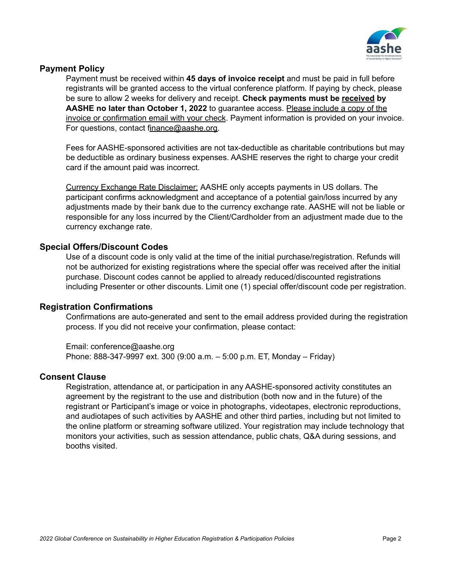

## **Payment Policy**

Payment must be received within **45 days of invoice receipt** and must be paid in full before registrants will be granted access to the virtual conference platform. If paying by check, please be sure to allow 2 weeks for delivery and receipt. **Check payments must be received by AASHE no later than October 1, 2022** to guarantee access. Please include a copy of the invoice or confirmation email with your check. Payment information is provided on your invoice. For questions, contact [finance@aashe.org.](mailto:finance@aashe.org)

Fees for AASHE-sponsored activities are not tax-deductible as charitable contributions but may be deductible as ordinary business expenses. AASHE reserves the right to charge your credit card if the amount paid was incorrect.

Currency Exchange Rate Disclaimer: AASHE only accepts payments in US dollars. The participant confirms acknowledgment and acceptance of a potential gain/loss incurred by any adjustments made by their bank due to the currency exchange rate. AASHE will not be liable or responsible for any loss incurred by the Client/Cardholder from an adjustment made due to the currency exchange rate.

## **Special Offers/Discount Codes**

Use of a discount code is only valid at the time of the initial purchase/registration. Refunds will not be authorized for existing registrations where the special offer was received after the initial purchase. Discount codes cannot be applied to already reduced/discounted registrations including Presenter or other discounts. Limit one (1) special offer/discount code per registration.

## **Registration Confirmations**

Confirmations are auto-generated and sent to the email address provided during the registration process. If you did not receive your confirmation, please contact:

Email: conference@aashe.org Phone: 888-347-9997 ext. 300 (9:00 a.m. – 5:00 p.m. ET, Monday – Friday)

## **Consent Clause**

Registration, attendance at, or participation in any AASHE-sponsored activity constitutes an agreement by the registrant to the use and distribution (both now and in the future) of the registrant or Participant's image or voice in photographs, videotapes, electronic reproductions, and audiotapes of such activities by AASHE and other third parties, including but not limited to the online platform or streaming software utilized. Your registration may include technology that monitors your activities, such as session attendance, public chats, Q&A during sessions, and booths visited.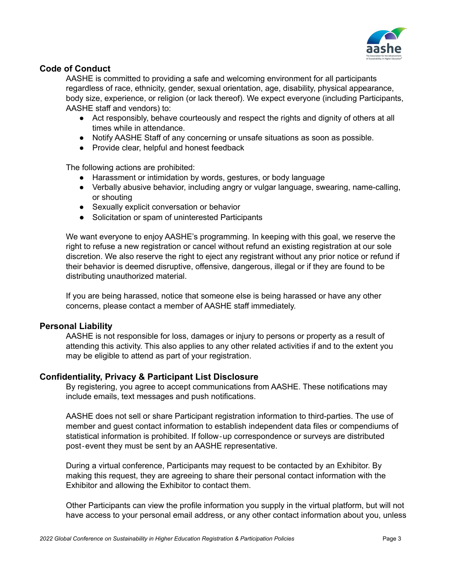

## **Code of Conduct**

AASHE is committed to providing a safe and welcoming environment for all participants regardless of race, ethnicity, gender, sexual orientation, age, disability, physical appearance, body size, experience, or religion (or lack thereof). We expect everyone (including Participants, AASHE staff and vendors) to:

- Act responsibly, behave courteously and respect the rights and dignity of others at all times while in attendance.
- Notify AASHE Staff of any concerning or unsafe situations as soon as possible.
- Provide clear, helpful and honest feedback

The following actions are prohibited:

- Harassment or intimidation by words, gestures, or body language
- Verbally abusive behavior, including angry or vulgar language, swearing, name-calling, or shouting
- Sexually explicit conversation or behavior
- Solicitation or spam of uninterested Participants

We want everyone to enjoy AASHE's programming. In keeping with this goal, we reserve the right to refuse a new registration or cancel without refund an existing registration at our sole discretion. We also reserve the right to eject any registrant without any prior notice or refund if their behavior is deemed disruptive, offensive, dangerous, illegal or if they are found to be distributing unauthorized material.

If you are being harassed, notice that someone else is being harassed or have any other concerns, please contact a member of AASHE staff immediately.

## **Personal Liability**

AASHE is not responsible for loss, damages or injury to persons or property as a result of attending this activity. This also applies to any other related activities if and to the extent you may be eligible to attend as part of your registration.

## **Confidentiality, Privacy & Participant List Disclosure**

By registering, you agree to accept communications from AASHE. These notifications may include emails, text messages and push notifications.

AASHE does not sell or share Participant registration information to third-parties. The use of member and guest contact information to establish independent data files or compendiums of statistical information is prohibited. If follow‐up correspondence or surveys are distributed post‐event they must be sent by an AASHE representative.

During a virtual conference, Participants may request to be contacted by an Exhibitor. By making this request, they are agreeing to share their personal contact information with the Exhibitor and allowing the Exhibitor to contact them.

Other Participants can view the profile information you supply in the virtual platform, but will not have access to your personal email address, or any other contact information about you, unless